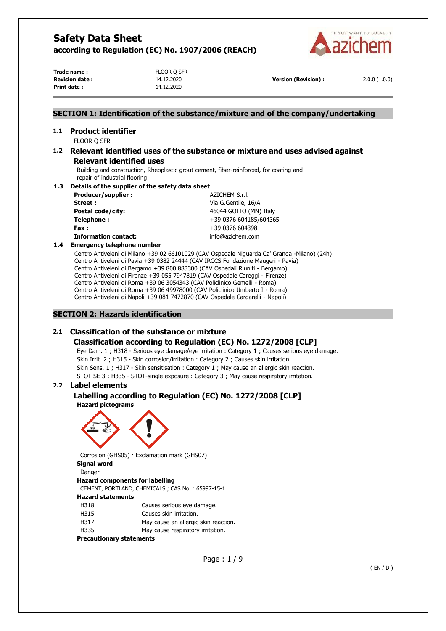

**Trade name :** FLOOR O SFR **Revision date :** 14.12.2020 **Version (Revision) :** 2.0.0 (1.0.0) **Print date :** 14.12.2020

# **SECTION 1: Identification of the substance/mixture and of the company/undertaking**

# **1.1 Product identifier**

FLOOR Q SFR

# **1.2 Relevant identified uses of the substance or mixture and uses advised against Relevant identified uses**

Building and construction, Rheoplastic grout cement, fiber-reinforced, for coating and repair of industrial flooring

#### **1.3 Details of the supplier of the safety data sheet**

| Producer/supplier:          | AZICHEM S.r.l.         |
|-----------------------------|------------------------|
| Street:                     | Via G.Gentile, 16/A    |
| <b>Postal code/city:</b>    | 46044 GOITO (MN) Italy |
| Telephone:                  | +39 0376 604185/604365 |
| Fax:                        | +39 0376 604398        |
| <b>Information contact:</b> | info@azichem.com       |
|                             |                        |

#### **1.4 Emergency telephone number**

Centro Antiveleni di Milano +39 02 66101029 (CAV Ospedale Niguarda Ca' Granda -Milano) (24h) Centro Antiveleni di Pavia +39 0382 24444 (CAV IRCCS Fondazione Maugeri - Pavia) Centro Antiveleni di Bergamo +39 800 883300 (CAV Ospedali Riuniti - Bergamo) Centro Antiveleni di Firenze +39 055 7947819 (CAV Ospedale Careggi - Firenze) Centro Antiveleni di Roma +39 06 3054343 (CAV Policlinico Gemelli - Roma) Centro Antiveleni di Roma +39 06 49978000 (CAV Policlinico Umberto I - Roma) Centro Antiveleni di Napoli +39 081 7472870 (CAV Ospedale Cardarelli - Napoli)

### **SECTION 2: Hazards identification**

# **2.1 Classification of the substance or mixture**

### **Classification according to Regulation (EC) No. 1272/2008 [CLP]**

Eye Dam. 1 ; H318 - Serious eye damage/eye irritation : Category 1 ; Causes serious eye damage. Skin Irrit. 2 ; H315 - Skin corrosion/irritation : Category 2 ; Causes skin irritation. Skin Sens. 1 ; H317 - Skin sensitisation : Category 1 ; May cause an allergic skin reaction. STOT SE 3 ; H335 - STOT-single exposure : Category 3 ; May cause respiratory irritation.

### **2.2 Label elements**

# **Labelling according to Regulation (EC) No. 1272/2008 [CLP]**

**Hazard pictograms** 



Corrosion (GHS05) · Exclamation mark (GHS07) **Signal word**  Danger

#### **Hazard components for labelling**

CEMENT, PORTLAND, CHEMICALS ; CAS No. : 65997-15-1 **Hazard statements** 

- H318 Causes serious eye damage.
- H315 Causes skin irritation.
- H317 May cause an allergic skin reaction.
- H335 May cause respiratory irritation.

#### **Precautionary statements**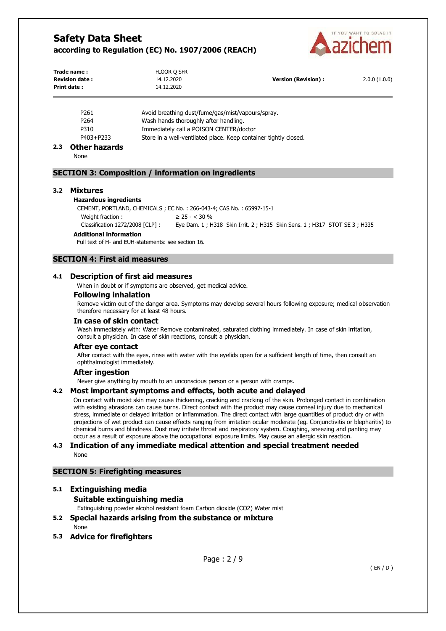

| Trade name:<br><b>Revision date:</b><br>Print date: | FLOOR Q SFR<br>14.12.2020<br>14.12.2020 | <b>Version (Revision):</b> | 2.0.0(1.0.0) |
|-----------------------------------------------------|-----------------------------------------|----------------------------|--------------|
|                                                     |                                         |                            |              |

| P <sub>261</sub> | Avoid breathing dust/fume/gas/mist/vapours/spray.                |
|------------------|------------------------------------------------------------------|
| P264             | Wash hands thoroughly after handling.                            |
| P310             | Immediately call a POISON CENTER/doctor                          |
| P403+P233        | Store in a well-ventilated place. Keep container tightly closed. |

# **2.3 Other hazards**

None

#### **SECTION 3: Composition / information on ingredients**

#### **3.2 Mixtures**

#### **Hazardous ingredients**

CEMENT, PORTLAND, CHEMICALS ; EC No. : 266-043-4; CAS No. : 65997-15-1 Weight fraction :  $\geq 25 -  $30\%$$ Classification 1272/2008 [CLP] : Eye Dam. 1 ; H318 Skin Irrit. 2 ; H315 Skin Sens. 1 ; H317 STOT SE 3 ; H335

#### **Additional information**

Full text of H- and EUH-statements: see section 16.

# **SECTION 4: First aid measures**

#### **4.1 Description of first aid measures**

When in doubt or if symptoms are observed, get medical advice.

# **Following inhalation**

Remove victim out of the danger area. Symptoms may develop several hours following exposure; medical observation therefore necessary for at least 48 hours.

#### **In case of skin contact**

Wash immediately with: Water Remove contaminated, saturated clothing immediately. In case of skin irritation, consult a physician. In case of skin reactions, consult a physician.

#### **After eye contact**

After contact with the eyes, rinse with water with the eyelids open for a sufficient length of time, then consult an ophthalmologist immediately.

#### **After ingestion**

Never give anything by mouth to an unconscious person or a person with cramps.

#### **4.2 Most important symptoms and effects, both acute and delayed**

On contact with moist skin may cause thickening, cracking and cracking of the skin. Prolonged contact in combination with existing abrasions can cause burns. Direct contact with the product may cause corneal injury due to mechanical stress, immediate or delayed irritation or inflammation. The direct contact with large quantities of product dry or with projections of wet product can cause effects ranging from irritation ocular moderate (eg. Conjunctivitis or blepharitis) to chemical burns and blindness. Dust may irritate throat and respiratory system. Coughing, sneezing and panting may occur as a result of exposure above the occupational exposure limits. May cause an allergic skin reaction.

#### **4.3 Indication of any immediate medical attention and special treatment needed**  None

# **SECTION 5: Firefighting measures**

# **5.1 Extinguishing media Suitable extinguishing media**

Extinguishing powder alcohol resistant foam Carbon dioxide (CO2) Water mist

# **5.2 Special hazards arising from the substance or mixture**

None

**5.3 Advice for firefighters**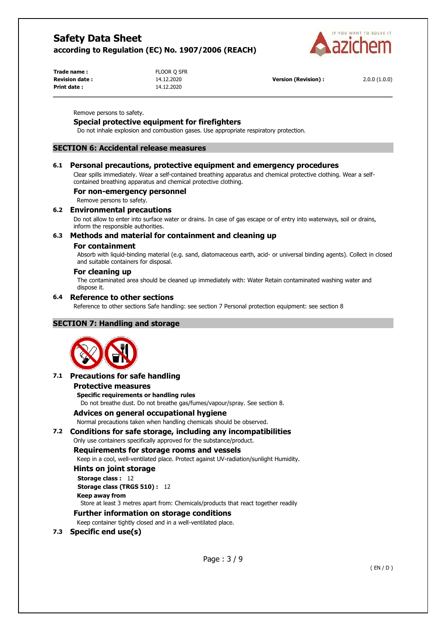

| Trade name:           | FLOOR Q SFR |                             |              |
|-----------------------|-------------|-----------------------------|--------------|
| <b>Revision date:</b> | 14.12.2020  | <b>Version (Revision) :</b> | 2.0.0(1.0.0) |
| <b>Print date:</b>    | 14.12.2020  |                             |              |

Remove persons to safety.

# **Special protective equipment for firefighters**

Do not inhale explosion and combustion gases. Use appropriate respiratory protection.

### **SECTION 6: Accidental release measures**

### **6.1 Personal precautions, protective equipment and emergency procedures**

Clear spills immediately. Wear a self-contained breathing apparatus and chemical protective clothing. Wear a selfcontained breathing apparatus and chemical protective clothing.

### **For non-emergency personnel**

Remove persons to safety.

### **6.2 Environmental precautions**

Do not allow to enter into surface water or drains. In case of gas escape or of entry into waterways, soil or drains, inform the responsible authorities.

### **6.3 Methods and material for containment and cleaning up**

#### **For containment**

Absorb with liquid-binding material (e.g. sand, diatomaceous earth, acid- or universal binding agents). Collect in closed and suitable containers for disposal.

#### **For cleaning up**

The contaminated area should be cleaned up immediately with: Water Retain contaminated washing water and dispose it.

### **6.4 Reference to other sections**

Reference to other sections Safe handling: see section 7 Personal protection equipment: see section 8

# **SECTION 7: Handling and storage**



### **7.1 Precautions for safe handling**

#### **Protective measures**

**Specific requirements or handling rules** 

Do not breathe dust. Do not breathe gas/fumes/vapour/spray. See section 8.

# **Advices on general occupational hygiene**

Normal precautions taken when handling chemicals should be observed.

# **7.2 Conditions for safe storage, including any incompatibilities**

# Only use containers specifically approved for the substance/product.

# **Requirements for storage rooms and vessels**

Keep in a cool, well-ventilated place. Protect against UV-radiation/sunlight Humidity.

# **Hints on joint storage**

# **Storage class :** 12 **Storage class (TRGS 510) :** 12

**Keep away from** 

Store at least 3 metres apart from: Chemicals/products that react together readily

# **Further information on storage conditions**

Keep container tightly closed and in a well-ventilated place.

# **7.3 Specific end use(s)**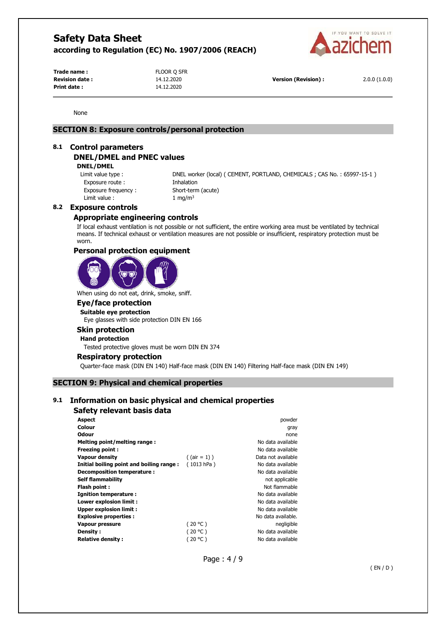

**Trade name :** FLOOR O SFR **Print date :** 14.12.2020

**Revision date :** 14.12.2020 **Version (Revision) :** 2.0.0 (1.0.0)

None

# **SECTION 8: Exposure controls/personal protection**

#### **8.1 Control parameters**

# **DNEL/DMEL and PNEC values**

**DNEL/DMEL** 

Exposure route : Thhalation Exposure frequency : Short-term (acute) Limit value :  $1 \text{ mg/m}^3$ 

Limit value type : DNEL worker (local) ( CEMENT, PORTLAND, CHEMICALS ; CAS No. : 65997-15-1 )

#### **8.2 Exposure controls**

# **Appropriate engineering controls**

If local exhaust ventilation is not possible or not sufficient, the entire working area must be ventilated by technical means. If technical exhaust or ventilation measures are not possible or insufficient, respiratory protection must be worn.

#### **Personal protection equipment**



When using do not eat, drink, smoke, sniff.

# **Eye/face protection**

**Suitable eye protection**  Eye glasses with side protection DIN EN 166

#### **Skin protection**

**Hand protection** 

Tested protective gloves must be worn DIN EN 374

#### **Respiratory protection**

Quarter-face mask (DIN EN 140) Half-face mask (DIN EN 140) Filtering Half-face mask (DIN EN 149)

#### **SECTION 9: Physical and chemical properties**

# **9.1 Information on basic physical and chemical properties**

# **Safety relevant basis data**

| <b>Aspect</b>                            |                 | powder             |
|------------------------------------------|-----------------|--------------------|
| Colour                                   |                 | gray               |
| Odour                                    |                 | none               |
| Melting point/melting range:             |                 | No data available  |
| <b>Freezing point:</b>                   |                 | No data available  |
| Vapour density                           | $($ (air = 1) ) | Data not available |
| Initial boiling point and boiling range: | (1013 hPa)      | No data available  |
| Decomposition temperature :              |                 | No data available  |
| <b>Self flammability</b>                 |                 | not applicable     |
| Flash point:                             |                 | Not flammable      |
| Ignition temperature:                    |                 | No data available  |
| Lower explosion limit :                  |                 | No data available  |
| <b>Upper explosion limit:</b>            |                 | No data available  |
| <b>Explosive properties:</b>             |                 | No data available. |
| <b>Vapour pressure</b>                   | (20 °C)         | negligible         |
| Density:                                 | (20 °C)         | No data available  |
| <b>Relative density:</b>                 | (20 °C )        | No data available  |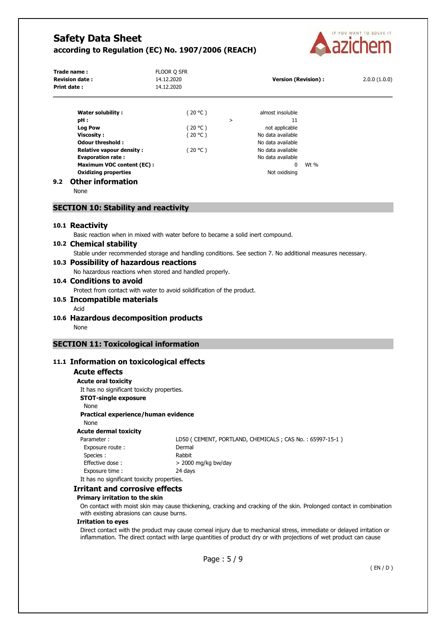

| Trade name:<br><b>Revision date:</b><br>Print date:                                                                                                                                                                                                             | FLOOR Q SFR<br>14.12.2020<br>14.12.2020      |   | <b>Version (Revision):</b>                                                                                                                         |      | 2.0.0(1.0.0) |
|-----------------------------------------------------------------------------------------------------------------------------------------------------------------------------------------------------------------------------------------------------------------|----------------------------------------------|---|----------------------------------------------------------------------------------------------------------------------------------------------------|------|--------------|
| <b>Water solubility:</b><br>pH:<br><b>Log Pow</b><br><b>Viscosity:</b><br><b>Odour threshold:</b><br><b>Relative vapour density:</b><br><b>Evaporation rate:</b><br>Maximum VOC content (EC):<br><b>Oxidizing properties</b><br><b>Other information</b><br>9.2 | (20 °C )<br>(20 °C )<br>(20 °C )<br>(20 °C ) | > | almost insoluble<br>11<br>not applicable<br>No data available<br>No data available<br>No data available<br>No data available<br>0<br>Not oxidising | Wt % |              |

None

#### **SECTION 10: Stability and reactivity**

#### **10.1 Reactivity**

Basic reaction when in mixed with water before to became a solid inert compound.

# **10.2 Chemical stability**

Stable under recommended storage and handling conditions. See section 7. No additional measures necessary.

# **10.3 Possibility of hazardous reactions**

No hazardous reactions when stored and handled properly.

#### **10.4 Conditions to avoid**

Protect from contact with water to avoid solidification of the product.

- **10.5 Incompatible materials** 
	- Acid
- **10.6 Hazardous decomposition products**  None

# **SECTION 11: Toxicological information**

# **11.1 Information on toxicological effects**

# **Acute effects**

**Acute oral toxicity**  It has no significant toxicity properties. **STOT-single exposure**  None **Practical experience/human evidence**  None **Acute dermal toxicity**  Parameter : LD50 ( CEMENT, PORTLAND, CHEMICALS ; CAS No. : 65997-15-1 ) Exposure route : Dermal Species : Rabbit Effective dose :  $> 2000$  mg/kg bw/day Exposure time : 24 days It has no significant toxicity properties.

#### **Irritant and corrosive effects**

#### **Primary irritation to the skin**

On contact with moist skin may cause thickening, cracking and cracking of the skin. Prolonged contact in combination with existing abrasions can cause burns.

# **Irritation to eyes**

Direct contact with the product may cause corneal injury due to mechanical stress, immediate or delayed irritation or inflammation. The direct contact with large quantities of product dry or with projections of wet product can cause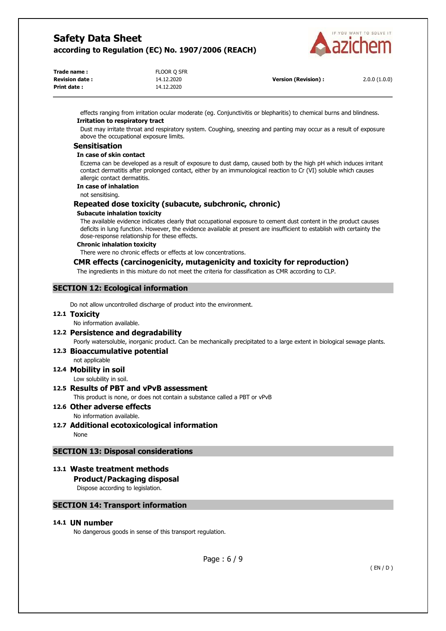

| Trade name:           | FLOOR Q SFR |                            |              |
|-----------------------|-------------|----------------------------|--------------|
| <b>Revision date:</b> | 14.12.2020  | <b>Version (Revision):</b> | 2.0.0(1.0.0) |
| <b>Print date:</b>    | 14.12.2020  |                            |              |

effects ranging from irritation ocular moderate (eg. Conjunctivitis or blepharitis) to chemical burns and blindness. **Irritation to respiratory tract** 

Dust may irritate throat and respiratory system. Coughing, sneezing and panting may occur as a result of exposure above the occupational exposure limits.

#### **Sensitisation**

#### **In case of skin contact**

Eczema can be developed as a result of exposure to dust damp, caused both by the high pH which induces irritant contact dermatitis after prolonged contact, either by an immunological reaction to Cr (VI) soluble which causes allergic contact dermatitis.

# **In case of inhalation**

not sensitising.

### **Repeated dose toxicity (subacute, subchronic, chronic)**

#### **Subacute inhalation toxicity**

The available evidence indicates clearly that occupational exposure to cement dust content in the product causes deficits in lung function. However, the evidence available at present are insufficient to establish with certainty the dose-response relationship for these effects.

#### **Chronic inhalation toxicity**

There were no chronic effects or effects at low concentrations.

### **CMR effects (carcinogenicity, mutagenicity and toxicity for reproduction)**

The ingredients in this mixture do not meet the criteria for classification as CMR according to CLP.

### **SECTION 12: Ecological information**

Do not allow uncontrolled discharge of product into the environment.

#### **12.1 Toxicity**

No information available.

# **12.2 Persistence and degradability**

Poorly watersoluble, inorganic product. Can be mechanically precipitated to a large extent in biological sewage plants.

#### **12.3 Bioaccumulative potential**

not applicable

**12.4 Mobility in soil**  Low solubility in soil.

# **12.5 Results of PBT and vPvB assessment**

This product is none, or does not contain a substance called a PBT or vPvB

#### **12.6 Other adverse effects**  No information available.

**12.7 Additional ecotoxicological information**  None

# **SECTION 13: Disposal considerations**

# **13.1 Waste treatment methods**

# **Product/Packaging disposal**

Dispose according to legislation.

# **SECTION 14: Transport information**

# **14.1 UN number**

No dangerous goods in sense of this transport regulation.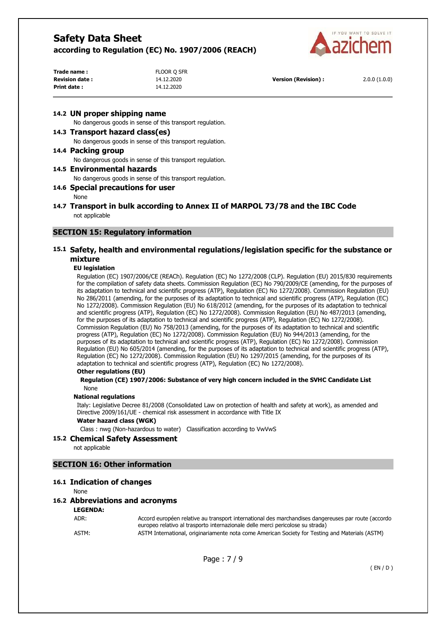

| Trade name:           | FLOOR Q SFR |                            |              |
|-----------------------|-------------|----------------------------|--------------|
| <b>Revision date:</b> | 14.12.2020  | <b>Version (Revision):</b> | 2.0.0(1.0.0) |
| Print date:           | 14.12.2020  |                            |              |

#### **14.2 UN proper shipping name**

No dangerous goods in sense of this transport regulation.

#### **14.3 Transport hazard class(es)**

No dangerous goods in sense of this transport regulation.

#### **14.4 Packing group**

No dangerous goods in sense of this transport regulation.

#### **14.5 Environmental hazards**

No dangerous goods in sense of this transport regulation.

### **14.6 Special precautions for user**

None

### **14.7 Transport in bulk according to Annex II of MARPOL 73/78 and the IBC Code**  not applicable

# **SECTION 15: Regulatory information**

### **15.1 Safety, health and environmental regulations/legislation specific for the substance or mixture**

#### **EU legislation**

Regulation (EC) 1907/2006/CE (REACh). Regulation (EC) No 1272/2008 (CLP). Regulation (EU) 2015/830 requirements for the compilation of safety data sheets. Commission Regulation (EC) No 790/2009/CE (amending, for the purposes of its adaptation to technical and scientific progress (ATP), Regulation (EC) No 1272/2008). Commission Regulation (EU) No 286/2011 (amending, for the purposes of its adaptation to technical and scientific progress (ATP), Regulation (EC) No 1272/2008). Commission Regulation (EU) No 618/2012 (amending, for the purposes of its adaptation to technical and scientific progress (ATP), Regulation (EC) No 1272/2008). Commission Regulation (EU) No 487/2013 (amending, for the purposes of its adaptation to technical and scientific progress (ATP), Regulation (EC) No 1272/2008). Commission Regulation (EU) No 758/2013 (amending, for the purposes of its adaptation to technical and scientific progress (ATP), Regulation (EC) No 1272/2008). Commission Regulation (EU) No 944/2013 (amending, for the purposes of its adaptation to technical and scientific progress (ATP), Regulation (EC) No 1272/2008). Commission Regulation (EU) No 605/2014 (amending, for the purposes of its adaptation to technical and scientific progress (ATP), Regulation (EC) No 1272/2008). Commission Regulation (EU) No 1297/2015 (amending, for the purposes of its adaptation to technical and scientific progress (ATP), Regulation (EC) No 1272/2008).

#### **Other regulations (EU)**

#### **Regulation (CE) 1907/2006: Substance of very high concern included in the SVHC Candidate List**  None

#### **National regulations**

Italy: Legislative Decree 81/2008 (Consolidated Law on protection of health and safety at work), as amended and Directive 2009/161/UE - chemical risk assessment in accordance with Title IX

#### **Water hazard class (WGK)**

Class : nwg (Non-hazardous to water) Classification according to VwVwS

#### **15.2 Chemical Safety Assessment**

not applicable

### **SECTION 16: Other information**

#### **16.1 Indication of changes**

**None** 

#### **16.2 Abbreviations and acronyms**

**LEGENDA:**

ADR: Accord européen relative au transport international des marchandises dangereuses par route (accordo europeo relativo al trasporto internazionale delle merci pericolose su strada) ASTM: ASTM International, originariamente nota come American Society for Testing and Materials (ASTM)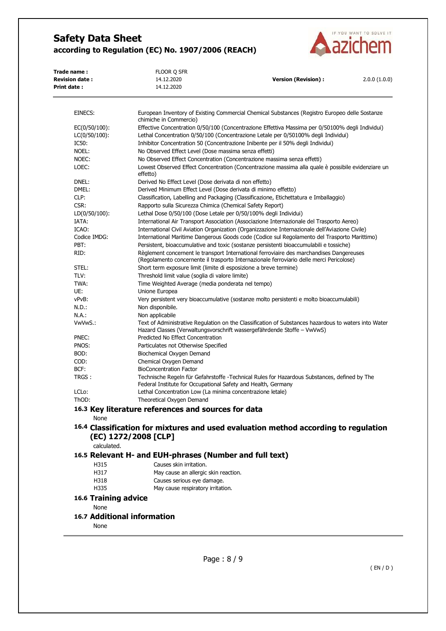

| Trade name:<br><b>Revision date:</b> | FLOOR Q SFR<br>14.12.2020                                         | <b>Version (Revision):</b>                                                                                                                                                           | 2.0.0(1.0.0) |
|--------------------------------------|-------------------------------------------------------------------|--------------------------------------------------------------------------------------------------------------------------------------------------------------------------------------|--------------|
| Print date:                          | 14.12.2020                                                        |                                                                                                                                                                                      |              |
|                                      |                                                                   |                                                                                                                                                                                      |              |
| EINECS:                              | chimiche in Commercio)                                            | European Inventory of Existing Commercial Chemical Substances (Registro Europeo delle Sostanze                                                                                       |              |
| $EC(0/50/100)$ :                     |                                                                   | Effective Concentration 0/50/100 (Concentrazione Effettiva Massima per 0/50100% degli Individui)                                                                                     |              |
| $LC(0/50/100)$ :                     |                                                                   | Lethal Concentration 0/50/100 (Concentrazione Letale per 0/50100% degli Individui)                                                                                                   |              |
| IC50:                                |                                                                   | Inhibitor Concentration 50 (Concentrazione Inibente per il 50% degli Individui)                                                                                                      |              |
| NOEL:                                | No Observed Effect Level (Dose massima senza effetti)             |                                                                                                                                                                                      |              |
| NOEC:                                |                                                                   | No Observed Effect Concentration (Concentrazione massima senza effetti)                                                                                                              |              |
| LOEC:                                | effetto)                                                          | Lowest Observed Effect Concentration (Concentrazione massima alla quale è possibile evidenziare un                                                                                   |              |
| DNEL:                                | Derived No Effect Level (Dose derivata di non effetto)            |                                                                                                                                                                                      |              |
| DMEL:                                | Derived Minimum Effect Level (Dose derivata di minimo effetto)    |                                                                                                                                                                                      |              |
| CLP:                                 |                                                                   | Classification, Labelling and Packaging (Classificazione, Etichettatura e Imballaggio)                                                                                               |              |
| CSR:                                 | Rapporto sulla Sicurezza Chimica (Chemical Safety Report)         |                                                                                                                                                                                      |              |
| $LD(0/50/100)$ :                     |                                                                   | Lethal Dose 0/50/100 (Dose Letale per 0/50/100% degli Individui)                                                                                                                     |              |
| IATA:                                |                                                                   | International Air Transport Association (Associazione Internazionale del Trasporto Aereo)                                                                                            |              |
| ICAO:                                |                                                                   | International Civil Aviation Organization (Organizzazione Internazionale dell'Aviazione Civile)                                                                                      |              |
| Codice IMDG:                         |                                                                   | International Maritime Dangerous Goods code (Codice sul Regolamento del Trasporto Marittimo)                                                                                         |              |
| PBT:                                 |                                                                   | Persistent, bioaccumulative and toxic (sostanze persistenti bioaccumulabili e tossiche)                                                                                              |              |
| RID:                                 |                                                                   | Règlement concernent le transport International ferroviaire des marchandises Dangereuses<br>(Regolamento concernente il trasporto Internazionale ferroviario delle merci Pericolose) |              |
| STEL:                                | Short term exposure limit (limite di esposizione a breve termine) |                                                                                                                                                                                      |              |
| TLV:                                 | Threshold limit value (soglia di valore limite)                   |                                                                                                                                                                                      |              |
| TWA:                                 | Time Weighted Average (media ponderata nel tempo)                 |                                                                                                                                                                                      |              |
| UE:                                  | Unione Europea                                                    |                                                                                                                                                                                      |              |
| vPvB:                                |                                                                   | Very persistent very bioaccumulative (sostanze molto persistenti e molto bioaccumulabili)                                                                                            |              |
| N.D.:                                | Non disponibile.                                                  |                                                                                                                                                                                      |              |
| N.A.:                                | Non applicabile                                                   |                                                                                                                                                                                      |              |
| VwVwS.:                              |                                                                   | Text of Administrative Regulation on the Classification of Substances hazardous to waters into Water<br>Hazard Classes (Verwaltungsvorschrift wassergefährdende Stoffe – VwVwS)      |              |
| PNEC:                                | Predicted No Effect Concentration                                 |                                                                                                                                                                                      |              |
| PNOS:                                | Particulates not Otherwise Specified                              |                                                                                                                                                                                      |              |
| BOD:                                 | Biochemical Oxygen Demand                                         |                                                                                                                                                                                      |              |
| COD:                                 | Chemical Oxygen Demand                                            |                                                                                                                                                                                      |              |
| BCF:                                 | <b>BioConcentration Factor</b>                                    |                                                                                                                                                                                      |              |
| TRGS :                               | Federal Institute for Occupational Safety and Health, Germany     | Technische Regeln für Gefahrstoffe -Technical Rules for Hazardous Substances, defined by The                                                                                         |              |
| LCL <sub>o</sub> :                   | Lethal Concentration Low (La minima concentrazione letale)        |                                                                                                                                                                                      |              |
| ThOD:                                | Theoretical Oxygen Demand                                         |                                                                                                                                                                                      |              |
|                                      | 16.3 Key literature references and sources for data               |                                                                                                                                                                                      |              |
| None                                 |                                                                   |                                                                                                                                                                                      |              |
|                                      |                                                                   |                                                                                                                                                                                      |              |
|                                      | (EC) 1272/2008 [CLP]                                              | 16.4 Classification for mixtures and used evaluation method according to regulation                                                                                                  |              |
| calculated.                          |                                                                   |                                                                                                                                                                                      |              |
|                                      | 16.5 Relevant H- and EUH-phrases (Number and full text)           |                                                                                                                                                                                      |              |
| H315                                 | Causes skin irritation.                                           |                                                                                                                                                                                      |              |
| H317                                 | May cause an allergic skin reaction.                              |                                                                                                                                                                                      |              |
|                                      | Causes serious eye damage.                                        |                                                                                                                                                                                      |              |
|                                      | May cause respiratory irritation.                                 |                                                                                                                                                                                      |              |
| H318<br>H335                         |                                                                   |                                                                                                                                                                                      |              |

None

# **16.7 Additional information**

None